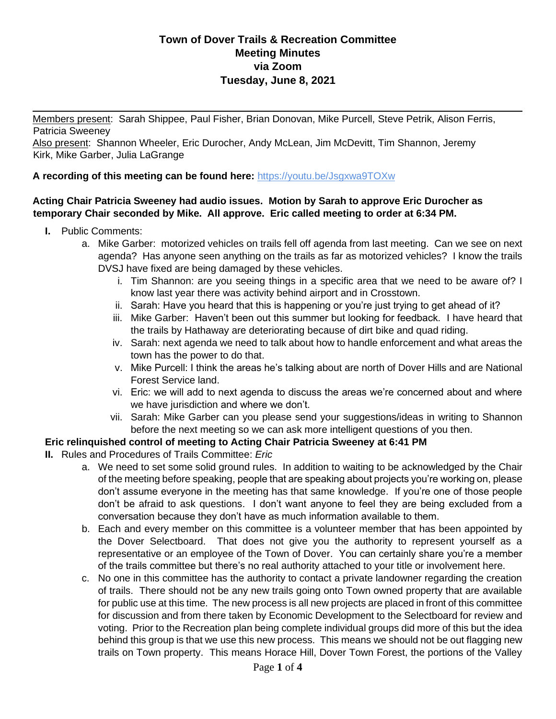Members present: Sarah Shippee, Paul Fisher, Brian Donovan, Mike Purcell, Steve Petrik, Alison Ferris, Patricia Sweeney

Also present: Shannon Wheeler, Eric Durocher, Andy McLean, Jim McDevitt, Tim Shannon, Jeremy Kirk, Mike Garber, Julia LaGrange

### **A recording of this meeting can be found here:** <https://youtu.be/Jsgxwa9TOXw>

#### **Acting Chair Patricia Sweeney had audio issues. Motion by Sarah to approve Eric Durocher as temporary Chair seconded by Mike. All approve. Eric called meeting to order at 6:34 PM.**

- **I.** Public Comments:
	- a. Mike Garber: motorized vehicles on trails fell off agenda from last meeting. Can we see on next agenda? Has anyone seen anything on the trails as far as motorized vehicles? I know the trails DVSJ have fixed are being damaged by these vehicles.
		- i. Tim Shannon: are you seeing things in a specific area that we need to be aware of? I know last year there was activity behind airport and in Crosstown.

 $\mathcal{L}$ 

- ii. Sarah: Have you heard that this is happening or you're just trying to get ahead of it?
- iii. Mike Garber: Haven't been out this summer but looking for feedback. I have heard that the trails by Hathaway are deteriorating because of dirt bike and quad riding.
- iv. Sarah: next agenda we need to talk about how to handle enforcement and what areas the town has the power to do that.
- v. Mike Purcell: I think the areas he's talking about are north of Dover Hills and are National Forest Service land.
- vi. Eric: we will add to next agenda to discuss the areas we're concerned about and where we have jurisdiction and where we don't.
- vii. Sarah: Mike Garber can you please send your suggestions/ideas in writing to Shannon before the next meeting so we can ask more intelligent questions of you then.

### **Eric relinquished control of meeting to Acting Chair Patricia Sweeney at 6:41 PM**

- **II.** Rules and Procedures of Trails Committee: *Eric*
	- a. We need to set some solid ground rules. In addition to waiting to be acknowledged by the Chair of the meeting before speaking, people that are speaking about projects you're working on, please don't assume everyone in the meeting has that same knowledge. If you're one of those people don't be afraid to ask questions. I don't want anyone to feel they are being excluded from a conversation because they don't have as much information available to them.
	- b. Each and every member on this committee is a volunteer member that has been appointed by the Dover Selectboard. That does not give you the authority to represent yourself as a representative or an employee of the Town of Dover. You can certainly share you're a member of the trails committee but there's no real authority attached to your title or involvement here.
	- c. No one in this committee has the authority to contact a private landowner regarding the creation of trails. There should not be any new trails going onto Town owned property that are available for public use at this time. The new process is all new projects are placed in front of this committee for discussion and from there taken by Economic Development to the Selectboard for review and voting. Prior to the Recreation plan being complete individual groups did more of this but the idea behind this group is that we use this new process. This means we should not be out flagging new trails on Town property. This means Horace Hill, Dover Town Forest, the portions of the Valley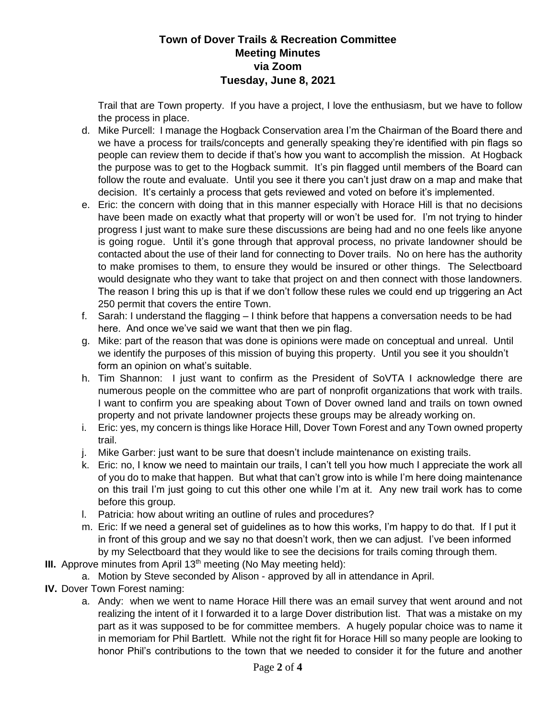Trail that are Town property. If you have a project, I love the enthusiasm, but we have to follow the process in place.

- d. Mike Purcell: I manage the Hogback Conservation area I'm the Chairman of the Board there and we have a process for trails/concepts and generally speaking they're identified with pin flags so people can review them to decide if that's how you want to accomplish the mission. At Hogback the purpose was to get to the Hogback summit. It's pin flagged until members of the Board can follow the route and evaluate. Until you see it there you can't just draw on a map and make that decision. It's certainly a process that gets reviewed and voted on before it's implemented.
- e. Eric: the concern with doing that in this manner especially with Horace Hill is that no decisions have been made on exactly what that property will or won't be used for. I'm not trying to hinder progress I just want to make sure these discussions are being had and no one feels like anyone is going rogue. Until it's gone through that approval process, no private landowner should be contacted about the use of their land for connecting to Dover trails. No on here has the authority to make promises to them, to ensure they would be insured or other things. The Selectboard would designate who they want to take that project on and then connect with those landowners. The reason I bring this up is that if we don't follow these rules we could end up triggering an Act 250 permit that covers the entire Town.
- f. Sarah: I understand the flagging I think before that happens a conversation needs to be had here. And once we've said we want that then we pin flag.
- g. Mike: part of the reason that was done is opinions were made on conceptual and unreal. Until we identify the purposes of this mission of buying this property. Until you see it you shouldn't form an opinion on what's suitable.
- h. Tim Shannon: I just want to confirm as the President of SoVTA I acknowledge there are numerous people on the committee who are part of nonprofit organizations that work with trails. I want to confirm you are speaking about Town of Dover owned land and trails on town owned property and not private landowner projects these groups may be already working on.
- i. Eric: yes, my concern is things like Horace Hill, Dover Town Forest and any Town owned property trail.
- j. Mike Garber: just want to be sure that doesn't include maintenance on existing trails.
- k. Eric: no, I know we need to maintain our trails, I can't tell you how much I appreciate the work all of you do to make that happen. But what that can't grow into is while I'm here doing maintenance on this trail I'm just going to cut this other one while I'm at it. Any new trail work has to come before this group.
- l. Patricia: how about writing an outline of rules and procedures?
- m. Eric: If we need a general set of guidelines as to how this works, I'm happy to do that. If I put it in front of this group and we say no that doesn't work, then we can adjust. I've been informed by my Selectboard that they would like to see the decisions for trails coming through them.
- **III.** Approve minutes from April 13<sup>th</sup> meeting (No May meeting held):
	- a. Motion by Steve seconded by Alison approved by all in attendance in April.
- **IV.** Dover Town Forest naming:
	- a. Andy: when we went to name Horace Hill there was an email survey that went around and not realizing the intent of it I forwarded it to a large Dover distribution list. That was a mistake on my part as it was supposed to be for committee members. A hugely popular choice was to name it in memoriam for Phil Bartlett. While not the right fit for Horace Hill so many people are looking to honor Phil's contributions to the town that we needed to consider it for the future and another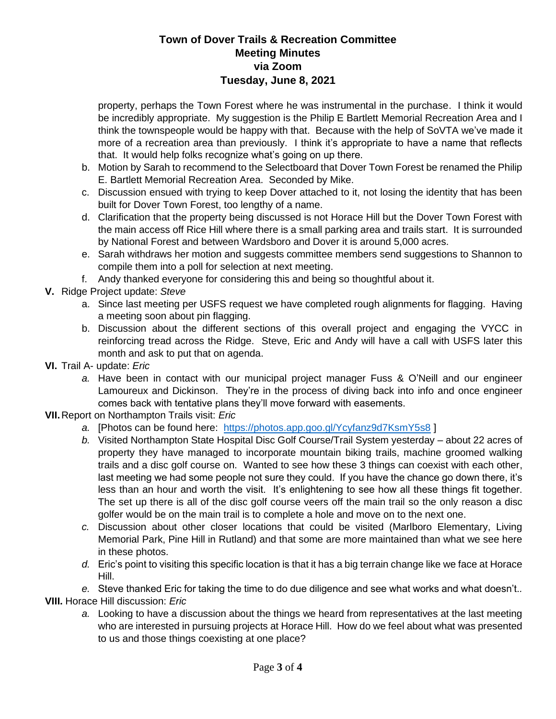property, perhaps the Town Forest where he was instrumental in the purchase. I think it would be incredibly appropriate. My suggestion is the Philip E Bartlett Memorial Recreation Area and I think the townspeople would be happy with that. Because with the help of SoVTA we've made it more of a recreation area than previously. I think it's appropriate to have a name that reflects that. It would help folks recognize what's going on up there.

- b. Motion by Sarah to recommend to the Selectboard that Dover Town Forest be renamed the Philip E. Bartlett Memorial Recreation Area. Seconded by Mike.
- c. Discussion ensued with trying to keep Dover attached to it, not losing the identity that has been built for Dover Town Forest, too lengthy of a name.
- d. Clarification that the property being discussed is not Horace Hill but the Dover Town Forest with the main access off Rice Hill where there is a small parking area and trails start. It is surrounded by National Forest and between Wardsboro and Dover it is around 5,000 acres.
- e. Sarah withdraws her motion and suggests committee members send suggestions to Shannon to compile them into a poll for selection at next meeting.
- f. Andy thanked everyone for considering this and being so thoughtful about it.
- **V.** Ridge Project update: *Steve*
	- a. Since last meeting per USFS request we have completed rough alignments for flagging. Having a meeting soon about pin flagging.
	- b. Discussion about the different sections of this overall project and engaging the VYCC in reinforcing tread across the Ridge. Steve, Eric and Andy will have a call with USFS later this month and ask to put that on agenda.
- **VI.** Trail A- update: *Eric*
	- *a.* Have been in contact with our municipal project manager Fuss & O'Neill and our engineer Lamoureux and Dickinson. They're in the process of diving back into info and once engineer comes back with tentative plans they'll move forward with easements.
- **VII.**Report on Northampton Trails visit: *Eric*
	- *a.* [Photos can be found here: <https://photos.app.goo.gl/Ycyfanz9d7KsmY5s8> ]
	- *b.* Visited Northampton State Hospital Disc Golf Course/Trail System yesterday about 22 acres of property they have managed to incorporate mountain biking trails, machine groomed walking trails and a disc golf course on. Wanted to see how these 3 things can coexist with each other, last meeting we had some people not sure they could. If you have the chance go down there, it's less than an hour and worth the visit. It's enlightening to see how all these things fit together. The set up there is all of the disc golf course veers off the main trail so the only reason a disc golfer would be on the main trail is to complete a hole and move on to the next one.
	- *c.* Discussion about other closer locations that could be visited (Marlboro Elementary, Living Memorial Park, Pine Hill in Rutland) and that some are more maintained than what we see here in these photos.
	- *d.* Eric's point to visiting this specific location is that it has a big terrain change like we face at Horace Hill.

*e.* Steve thanked Eric for taking the time to do due diligence and see what works and what doesn't.*.*  **VIII.** Horace Hill discussion: *Eric*

*a.* Looking to have a discussion about the things we heard from representatives at the last meeting who are interested in pursuing projects at Horace Hill. How do we feel about what was presented to us and those things coexisting at one place?